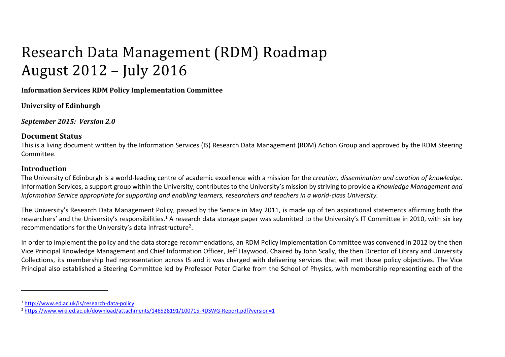# Research Data Management (RDM) Roadmap August 2012 – July 2016

**Information Services RDM Policy Implementation Committee**

**University of Edinburgh**

*September 2015: Version 2.0*

### **Document Status**

This is a living document written by the Information Services (IS) Research Data Management (RDM) Action Group and approved by the RDM Steering Committee.

## **Introduction**

 $\overline{a}$ 

The University of Edinburgh is a world-leading centre of academic excellence with a mission for the *creation, dissemination and curation of knowledge*. Information Services, a support group within the University, contributes to the University's mission by striving to provide a *Knowledge Management and Information Service appropriate for supporting and enabling learners, researchers and teachers in a world-class University.*

The University's Research Data Management Policy, passed by the Senate in May 2011, is made up of ten aspirational statements affirming both the researchers' and the University's responsibilities.<sup>1</sup> A research data storage paper was submitted to the University's IT Committee in 2010, with six key recommendations for the University's data infrastructure<sup>2</sup>.

In order to implement the policy and the data storage recommendations, an RDM Policy Implementation Committee was convened in 2012 by the then Vice Principal Knowledge Management and Chief Information Officer, Jeff Haywood. Chaired by John Scally, the then Director of Library and University Collections, its membership had representation across IS and it was charged with delivering services that will met those policy objectives. The Vice Principal also established a Steering Committee led by Professor Peter Clarke from the School of Physics, with membership representing each of the

<sup>1</sup> <http://www.ed.ac.uk/is/research-data-policy>

<sup>2</sup> <https://www.wiki.ed.ac.uk/download/attachments/146528191/100715-RDSWG-Report.pdf?version=1>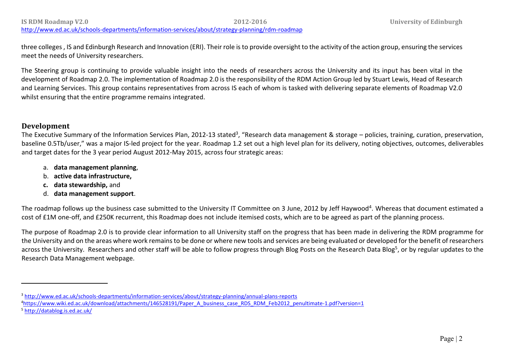three colleges , IS and Edinburgh Research and Innovation (ERI). Their role is to provide oversight to the activity of the action group, ensuring the services meet the needs of University researchers.

The Steering group is continuing to provide valuable insight into the needs of researchers across the University and its input has been vital in the development of Roadmap 2.0. The implementation of Roadmap 2.0 is the responsibility of the RDM Action Group led by Stuart Lewis, Head of Research and Learning Services. This group contains representatives from across IS each of whom is tasked with delivering separate elements of Roadmap V2.0 whilst ensuring that the entire programme remains integrated.

#### **Development**

The Executive Summary of the Information Services Plan, 2012-13 stated<sup>3</sup>, "Research data management & storage – policies, training, curation, preservation, baseline 0.5Tb/user," was a major IS-led project for the year. Roadmap 1.2 set out a high level plan for its delivery, noting objectives, outcomes, deliverables and target dates for the 3 year period August 2012-May 2015, across four strategic areas:

- a. **data management planning**,
- b. **active data infrastructure,**
- **c. data stewardship,** and
- d. **data management support**.

The roadmap follows up the business case submitted to the University IT Committee on 3 June, 2012 by Jeff Haywood<sup>4</sup>. Whereas that document estimated a cost of £1M one-off, and £250K recurrent, this Roadmap does not include itemised costs, which are to be agreed as part of the planning process.

The purpose of Roadmap 2.0 is to provide clear information to all University staff on the progress that has been made in delivering the RDM programme for the University and on the areas where work remains to be done or where new tools and services are being evaluated or developed for the benefit of researchers across the University. Researchers and other staff will be able to follow progress through Blog Posts on the Research Data Blog<sup>5</sup>, or by regular updates to the Research Data Management webpage.

<http://www.ed.ac.uk/schools-departments/information-services/about/strategy-planning/rdm-roadmap>

<sup>5</sup> <http://datablog.is.ed.ac.uk/>

1

<sup>3</sup> <http://www.ed.ac.uk/schools-departments/information-services/about/strategy-planning/annual-plans-reports>

<sup>4</sup>[https://www.wiki.ed.ac.uk/download/attachments/146528191/Paper\\_A\\_business\\_case\\_RDS\\_RDM\\_Feb2012\\_penultimate-1.pdf?version=1](https://www.wiki.ed.ac.uk/download/attachments/146528191/Paper_A_business_case_RDS_RDM_Feb2012_penultimate-1.pdf?version=1)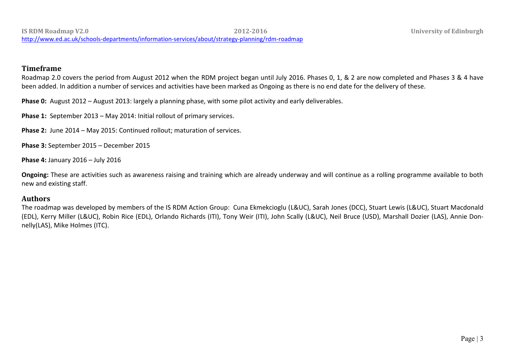### **Timeframe**

Roadmap 2.0 covers the period from August 2012 when the RDM project began until July 2016. Phases 0, 1, & 2 are now completed and Phases 3 & 4 have been added. In addition a number of services and activities have been marked as Ongoing as there is no end date for the delivery of these.

**Phase 0:** August 2012 – August 2013: largely a planning phase, with some pilot activity and early deliverables.

**Phase 1:** September 2013 – May 2014: Initial rollout of primary services.

**Phase 2:** June 2014 – May 2015: Continued rollout; maturation of services.

**Phase 3:** September 2015 – December 2015

**Phase 4:** January 2016 – July 2016

**Ongoing:** These are activities such as awareness raising and training which are already underway and will continue as a rolling programme available to both new and existing staff.

#### **Authors**

The roadmap was developed by members of the IS RDM Action Group: Cuna Ekmekcioglu (L&UC), Sarah Jones (DCC), Stuart Lewis (L&UC), Stuart Macdonald (EDL), Kerry Miller (L&UC), Robin Rice (EDL), Orlando Richards (ITI), Tony Weir (ITI), John Scally (L&UC), Neil Bruce (USD), Marshall Dozier (LAS), Annie Donnelly(LAS), Mike Holmes (ITC).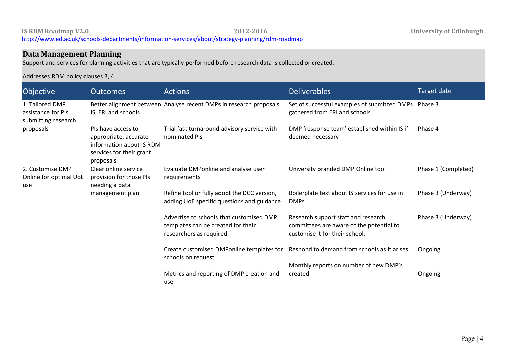use

#### **Data Management Planning** Support and services for planning activities that are typically performed before research data is collected or created. Addresses RDM policy clauses 3, 4. Objective **Outcomes Cultive Contract Actions** Actions **Contract Contract Deliverables Contract Contract Contract Contract Contract Contract Contract Contract Contract Contract Contract Contract Contract Contract Contra** 1. Tailored DMP assistance for PIs submitting research proposals Better alignment between Analyse recent DMPs in research proposals IS, ERI and schools PIs have access to appropriate, accurate information about IS RDM services for their grant proposals Trial fast turnaround advisory service with nominated PIs Set of successful examples of submitted DMPs gathered from ERI and schools DMP 'response team' established within IS if deemed necessary Phase 3 Phase 4 2. Customise DMP Online for optimal UoE use Clear online service provision for those PIs needing a data management plan Evaluate DMPonline and analyse user requirements Refine tool or fully adopt the DCC version, adding UoE specific questions and guidance Advertise to schools that customised DMP templates can be created for their researchers as required Create customised DMPonline templates for schools on request Metrics and reporting of DMP creation and University branded DMP Online tool Boilerplate text about IS services for use in DMPs Research support staff and research committees are aware of the potential to customise it for their school. Respond to demand from schools as it arises Monthly reports on number of new DMP's created Phase 1 (Completed) Phase 3 (Underway) Phase 3 (Underway) Ongoing Ongoing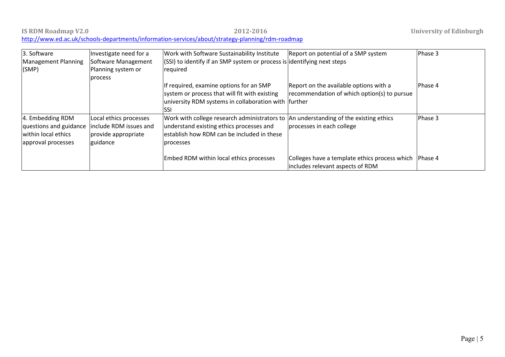| 3. Software            | Investigate need for a | Work with Software Sustainability Institute                                           | Report on potential of a SMP system                   | Phase 3 |
|------------------------|------------------------|---------------------------------------------------------------------------------------|-------------------------------------------------------|---------|
| Management Planning    | Software Management    | (SSI) to identify if an SMP system or process is identifying next steps               |                                                       |         |
| (SMP)                  | Planning system or     | required                                                                              |                                                       |         |
|                        | process                |                                                                                       |                                                       |         |
|                        |                        | If required, examine options for an SMP                                               | Report on the available options with a                | Phase 4 |
|                        |                        | system or process that will fit with existing                                         | recommendation of which option(s) to pursue           |         |
|                        |                        | university RDM systems in collaboration with further                                  |                                                       |         |
|                        |                        | <b>ISSI</b>                                                                           |                                                       |         |
| 4. Embedding RDM       | Local ethics processes | Work with college research administrators to  An understanding of the existing ethics |                                                       | Phase 3 |
| questions and guidance | include RDM issues and | understand existing ethics processes and                                              | processes in each college                             |         |
| within local ethics    | provide appropriate    | establish how RDM can be included in these                                            |                                                       |         |
| approval processes     | guidance               | processes                                                                             |                                                       |         |
|                        |                        |                                                                                       |                                                       |         |
|                        |                        | Embed RDM within local ethics processes                                               | Colleges have a template ethics process which Phase 4 |         |
|                        |                        |                                                                                       | includes relevant aspects of RDM                      |         |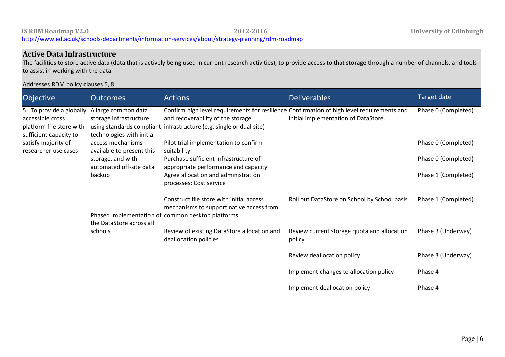### **Active Data Infrastructure**

The facilities to store active data (data that is actively being used in current research activities), to provide access to that storage through a number of channels, and tools to assist in working with the data.

#### Addresses RDM policy clauses 5, 8.

| Objective                                                                                          | <b>Outcomes</b>                                                            | <b>Actions</b>                                                                                                                                                                                          | <b>Deliverables</b>                                   | <b>Target date</b>  |
|----------------------------------------------------------------------------------------------------|----------------------------------------------------------------------------|---------------------------------------------------------------------------------------------------------------------------------------------------------------------------------------------------------|-------------------------------------------------------|---------------------|
| 5. To provide a globally<br>accessible cross<br>platform file store with<br>sufficient capacity to | A large common data<br>storage infrastructure<br>technologies with initial | Confirm high level requirements for resilience Confirmation of high level requirements and<br>and recoverability of the storage<br>using standards compliant linfrastructure (e.g. single or dual site) | initial implementation of DataStore.                  | Phase 0 (Completed) |
| satisfy majority of<br>researcher use cases                                                        | access mechanisms<br>available to present this                             | Pilot trial implementation to confirm<br>suitability                                                                                                                                                    |                                                       | Phase 0 (Completed) |
|                                                                                                    | storage, and with<br>automated off-site data                               | Purchase sufficient infrastructure of<br>appropriate performance and capacity                                                                                                                           |                                                       | Phase 0 (Completed) |
|                                                                                                    | backup                                                                     | Agree allocation and administration<br>processes; Cost service                                                                                                                                          |                                                       | Phase 1 (Completed) |
|                                                                                                    |                                                                            | Construct file store with initial access<br>mechanisms to support native access from<br>Phased implementation of common desktop platforms.                                                              | Roll out DataStore on School by School basis          | Phase 1 (Completed) |
|                                                                                                    | the DataStore across all                                                   |                                                                                                                                                                                                         |                                                       |                     |
|                                                                                                    | schools.                                                                   | Review of existing DataStore allocation and<br>deallocation policies                                                                                                                                    | Review current storage quota and allocation<br>policy | Phase 3 (Underway)  |
|                                                                                                    |                                                                            |                                                                                                                                                                                                         | <b>Review deallocation policy</b>                     | Phase 3 (Underway)  |
|                                                                                                    |                                                                            |                                                                                                                                                                                                         | Implement changes to allocation policy                | Phase 4             |
|                                                                                                    |                                                                            |                                                                                                                                                                                                         | Implement deallocation policy                         | Phase 4             |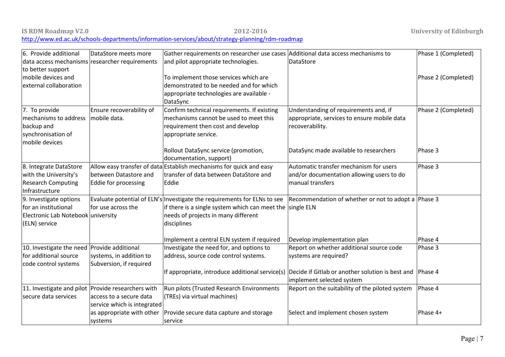| 6. Provide additional<br>Gather requirements on researcher use cases Additional data access mechanisms to<br>Phase 1 (Completed)<br>DataStore meets more<br>data access mechanisms researcher requirements<br>and pilot appropriate technologies.<br><b>DataStore</b><br>to better support<br>mobile devices and<br>To implement those services which are<br>Phase 2 (Completed)<br>demonstrated to be needed and for which<br>external collaboration<br>appropriate technologies are available -<br>DataSync<br>7. To provide<br>Ensure recoverability of<br>Confirm technical requirements. If existing<br>Understanding of requirements and, if<br>Phase 2 (Completed)<br>mechanisms cannot be used to meet this<br>mechanisms to address<br>mobile data.<br>appropriate, services to ensure mobile data<br>requirement then cost and develop<br>recoverability.<br>backup and<br>synchronisation of<br>appropriate service.<br>mobile devices<br>Rollout DataSync service (promotion,<br>DataSync made available to researchers<br>Phase 3<br>documentation, support) |  |
|---------------------------------------------------------------------------------------------------------------------------------------------------------------------------------------------------------------------------------------------------------------------------------------------------------------------------------------------------------------------------------------------------------------------------------------------------------------------------------------------------------------------------------------------------------------------------------------------------------------------------------------------------------------------------------------------------------------------------------------------------------------------------------------------------------------------------------------------------------------------------------------------------------------------------------------------------------------------------------------------------------------------------------------------------------------------------|--|
|                                                                                                                                                                                                                                                                                                                                                                                                                                                                                                                                                                                                                                                                                                                                                                                                                                                                                                                                                                                                                                                                           |  |
|                                                                                                                                                                                                                                                                                                                                                                                                                                                                                                                                                                                                                                                                                                                                                                                                                                                                                                                                                                                                                                                                           |  |
|                                                                                                                                                                                                                                                                                                                                                                                                                                                                                                                                                                                                                                                                                                                                                                                                                                                                                                                                                                                                                                                                           |  |
|                                                                                                                                                                                                                                                                                                                                                                                                                                                                                                                                                                                                                                                                                                                                                                                                                                                                                                                                                                                                                                                                           |  |
|                                                                                                                                                                                                                                                                                                                                                                                                                                                                                                                                                                                                                                                                                                                                                                                                                                                                                                                                                                                                                                                                           |  |
|                                                                                                                                                                                                                                                                                                                                                                                                                                                                                                                                                                                                                                                                                                                                                                                                                                                                                                                                                                                                                                                                           |  |
|                                                                                                                                                                                                                                                                                                                                                                                                                                                                                                                                                                                                                                                                                                                                                                                                                                                                                                                                                                                                                                                                           |  |
|                                                                                                                                                                                                                                                                                                                                                                                                                                                                                                                                                                                                                                                                                                                                                                                                                                                                                                                                                                                                                                                                           |  |
|                                                                                                                                                                                                                                                                                                                                                                                                                                                                                                                                                                                                                                                                                                                                                                                                                                                                                                                                                                                                                                                                           |  |
|                                                                                                                                                                                                                                                                                                                                                                                                                                                                                                                                                                                                                                                                                                                                                                                                                                                                                                                                                                                                                                                                           |  |
|                                                                                                                                                                                                                                                                                                                                                                                                                                                                                                                                                                                                                                                                                                                                                                                                                                                                                                                                                                                                                                                                           |  |
|                                                                                                                                                                                                                                                                                                                                                                                                                                                                                                                                                                                                                                                                                                                                                                                                                                                                                                                                                                                                                                                                           |  |
|                                                                                                                                                                                                                                                                                                                                                                                                                                                                                                                                                                                                                                                                                                                                                                                                                                                                                                                                                                                                                                                                           |  |
|                                                                                                                                                                                                                                                                                                                                                                                                                                                                                                                                                                                                                                                                                                                                                                                                                                                                                                                                                                                                                                                                           |  |
| Allow easy transfer of data Establish mechanisms for quick and easy<br>Automatic transfer mechanism for users<br>8. Integrate DataStore<br>Phase 3                                                                                                                                                                                                                                                                                                                                                                                                                                                                                                                                                                                                                                                                                                                                                                                                                                                                                                                        |  |
| with the University's<br>between Datastore and<br>transfer of data between DataStore and<br>and/or documentation allowing users to do                                                                                                                                                                                                                                                                                                                                                                                                                                                                                                                                                                                                                                                                                                                                                                                                                                                                                                                                     |  |
| manual transfers<br><b>Research Computing</b><br>Eddie for processing<br>Eddie                                                                                                                                                                                                                                                                                                                                                                                                                                                                                                                                                                                                                                                                                                                                                                                                                                                                                                                                                                                            |  |
| Infrastructure                                                                                                                                                                                                                                                                                                                                                                                                                                                                                                                                                                                                                                                                                                                                                                                                                                                                                                                                                                                                                                                            |  |
| Evaluate potential of ELN's Investigate the requirements for ELNs to see<br>Recommendation of whether or not to adopt a Phase 3<br>9. Investigate options                                                                                                                                                                                                                                                                                                                                                                                                                                                                                                                                                                                                                                                                                                                                                                                                                                                                                                                 |  |
| for use across the<br>if there is a single system which can meet the<br>for an institutional<br>single ELN                                                                                                                                                                                                                                                                                                                                                                                                                                                                                                                                                                                                                                                                                                                                                                                                                                                                                                                                                                |  |
| needs of projects in many different<br>Electronic Lab Notebook university                                                                                                                                                                                                                                                                                                                                                                                                                                                                                                                                                                                                                                                                                                                                                                                                                                                                                                                                                                                                 |  |
| (ELN) service<br>disciplines                                                                                                                                                                                                                                                                                                                                                                                                                                                                                                                                                                                                                                                                                                                                                                                                                                                                                                                                                                                                                                              |  |
| Implement a central ELN system if required<br>Develop implementation plan<br>Phase 4                                                                                                                                                                                                                                                                                                                                                                                                                                                                                                                                                                                                                                                                                                                                                                                                                                                                                                                                                                                      |  |
| 10. Investigate the need Provide additional<br>Investigate the need for, and options to<br>Report on whether additional source code<br>Phase 3                                                                                                                                                                                                                                                                                                                                                                                                                                                                                                                                                                                                                                                                                                                                                                                                                                                                                                                            |  |
| for additional source<br>systems, in addition to<br>address, source code control systems.<br>systems are required?                                                                                                                                                                                                                                                                                                                                                                                                                                                                                                                                                                                                                                                                                                                                                                                                                                                                                                                                                        |  |
| Subversion, if required<br>code control systems                                                                                                                                                                                                                                                                                                                                                                                                                                                                                                                                                                                                                                                                                                                                                                                                                                                                                                                                                                                                                           |  |
| If appropriate, introduce additional service(s) Decide if Gitlab or another solution is best and<br>Phase 4                                                                                                                                                                                                                                                                                                                                                                                                                                                                                                                                                                                                                                                                                                                                                                                                                                                                                                                                                               |  |
| implement selected system                                                                                                                                                                                                                                                                                                                                                                                                                                                                                                                                                                                                                                                                                                                                                                                                                                                                                                                                                                                                                                                 |  |
| Report on the suitability of the piloted system<br>Phase 4<br>11. Investigate and pilot Provide researchers with<br>Run pilots (Trusted Research Environments                                                                                                                                                                                                                                                                                                                                                                                                                                                                                                                                                                                                                                                                                                                                                                                                                                                                                                             |  |
| secure data services<br>(TREs) via virtual machines)<br>access to a secure data                                                                                                                                                                                                                                                                                                                                                                                                                                                                                                                                                                                                                                                                                                                                                                                                                                                                                                                                                                                           |  |
| service which is integrated                                                                                                                                                                                                                                                                                                                                                                                                                                                                                                                                                                                                                                                                                                                                                                                                                                                                                                                                                                                                                                               |  |
| Select and implement chosen system<br>as appropriate with other<br>Provide secure data capture and storage<br>Phase 4+                                                                                                                                                                                                                                                                                                                                                                                                                                                                                                                                                                                                                                                                                                                                                                                                                                                                                                                                                    |  |
| systems<br>service                                                                                                                                                                                                                                                                                                                                                                                                                                                                                                                                                                                                                                                                                                                                                                                                                                                                                                                                                                                                                                                        |  |

#### **IS RDM Roadmap V2.0 2012-2016 University of Edinburgh** <http://www.ed.ac.uk/schools-departments/information-services/about/strategy-planning/rdm-roadmap>

Page | 7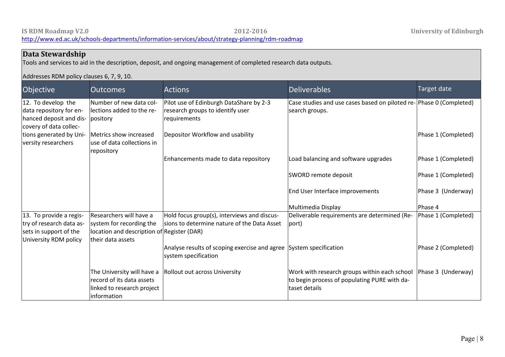#### **IS RDM Roadmap V2.0 2012-2016 University of Edinburgh** <http://www.ed.ac.uk/schools-departments/information-services/about/strategy-planning/rdm-roadmap>

#### **Data Stewardship** Tools and services to aid in the description, deposit, and ongoing management of completed research data outputs. Addresses RDM policy clauses 6, 7, 9, 10. Objective **Outcomes Constanting Actions Constanting Constanting Deliverables Constanting Target date** 12. To develop the data repository for enhanced deposit and dis-pository covery of data collections generated by University researchers Number of new data collections added to the re-Metrics show increased use of data collections in repository Pilot use of Edinburgh DataShare by 2-3 research groups to identify user requirements Depositor Workflow and usability Enhancements made to data repository Case studies and use cases based on piloted re-Phase 0 (Completed) search groups. Load balancing and software upgrades SWORD remote deposit End User Interface improvements Multimedia Display Phase 1 (Completed) Phase 1 (Completed) Phase 1 (Completed) Phase 3 (Underway) Phase 4 13. To provide a registry of research data assets in support of the University RDM policy Researchers will have a system for recording the location and description of Register (DAR) their data assets The University will have a Rollout out across University record of its data assets linked to research project information Hold focus group(s), interviews and discussions to determine nature of the Data Asset Analyse results of scoping exercise and agree System specification system specification Deliverable requirements are determined (Report) Work with research groups within each school to begin process of populating PURE with dataset details Phase 1 (Completed) Phase 2 (Completed) Phase 3 (Underway)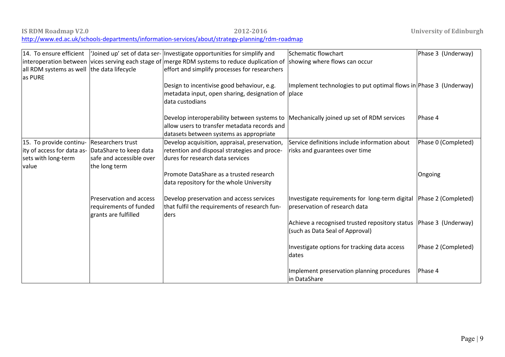| <b>IS RDM Roadmap V2.0</b> | 2012-2016                                                                                        |
|----------------------------|--------------------------------------------------------------------------------------------------|
|                            | http://www.ed.ac.uk/schools-departments/information-services/about/strategy-planning/rdm-roadmap |

|                                                       |                                                                           | 14. To ensure efficient   'Joined up' set of data ser-  Investigate opportunities for simplify and                                     | Schematic flowchart                                                                                  | Phase 3 (Underway)  |
|-------------------------------------------------------|---------------------------------------------------------------------------|----------------------------------------------------------------------------------------------------------------------------------------|------------------------------------------------------------------------------------------------------|---------------------|
|                                                       |                                                                           | interoperation between vices serving each stage of merge RDM systems to reduce duplication of                                          | showing where flows can occur                                                                        |                     |
| all RDM systems as well the data lifecycle<br>as PURE |                                                                           | effort and simplify processes for researchers                                                                                          |                                                                                                      |                     |
|                                                       |                                                                           | Design to incentivise good behaviour, e.g.                                                                                             | Implement technologies to put optimal flows in Phase 3 (Underway)                                    |                     |
|                                                       |                                                                           | metadata input, open sharing, designation of place<br>data custodians                                                                  |                                                                                                      |                     |
|                                                       |                                                                           | Develop interoperability between systems to<br>allow users to transfer metadata records and<br>datasets between systems as appropriate | Mechanically joined up set of RDM services                                                           | Phase 4             |
| 15. To provide continu-                               | Researchers trust                                                         | Develop acquisition, appraisal, preservation,                                                                                          | Service definitions include information about                                                        | Phase 0 (Completed) |
| ity of access for data as- DataShare to keep data     |                                                                           | retention and disposal strategies and proce-                                                                                           | risks and guarantees over time                                                                       |                     |
| sets with long-term                                   | safe and accessible over                                                  | dures for research data services                                                                                                       |                                                                                                      |                     |
| value                                                 | the long term                                                             |                                                                                                                                        |                                                                                                      |                     |
|                                                       |                                                                           | Promote DataShare as a trusted research                                                                                                |                                                                                                      | Ongoing             |
|                                                       |                                                                           | data repository for the whole University                                                                                               |                                                                                                      |                     |
|                                                       | Preservation and access<br>requirements of funded<br>grants are fulfilled | Develop preservation and access services<br>that fulfil the requirements of research fun-<br>ders                                      | Investigate requirements for long-term digital Phase 2 (Completed)<br>preservation of research data  |                     |
|                                                       |                                                                           |                                                                                                                                        | Achieve a recognised trusted repository status Phase 3 (Underway)<br>(such as Data Seal of Approval) |                     |
|                                                       |                                                                           |                                                                                                                                        | Investigate options for tracking data access<br>dates                                                | Phase 2 (Completed) |
|                                                       |                                                                           |                                                                                                                                        | Implement preservation planning procedures<br>lin DataShare                                          | Phase 4             |

**IS University of Edinburgh**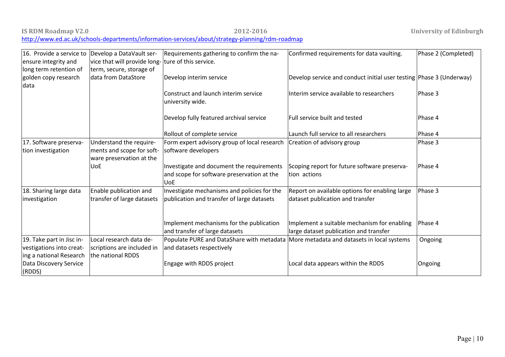| IS RDM Roadmap V2.0                                                                              | 2012-2016 |
|--------------------------------------------------------------------------------------------------|-----------|
| http://www.ed.ac.uk/schools-departments/information-services/about/strategy-planning/rdm-roadmap |           |

| 16. Provide a service to                     | Develop a DataVault ser-                             | Requirements gathering to confirm the na-                                               | Confirmed requirements for data vaulting.                           | Phase 2 (Completed) |
|----------------------------------------------|------------------------------------------------------|-----------------------------------------------------------------------------------------|---------------------------------------------------------------------|---------------------|
| ensure integrity and                         | vice that will provide long- ture of this service.   |                                                                                         |                                                                     |                     |
| long term retention of                       | term, secure, storage of                             |                                                                                         |                                                                     |                     |
| golden copy research                         | data from DataStore                                  | Develop interim service                                                                 | Develop service and conduct initial user testing Phase 3 (Underway) |                     |
| data                                         |                                                      |                                                                                         |                                                                     |                     |
|                                              |                                                      | Construct and launch interim service                                                    | Interim service available to researchers                            | Phase 3             |
|                                              |                                                      | university wide.                                                                        |                                                                     |                     |
|                                              |                                                      |                                                                                         |                                                                     |                     |
|                                              |                                                      | Develop fully featured archival service                                                 | Full service built and tested                                       | Phase 4             |
|                                              |                                                      | Rollout of complete service                                                             | Launch full service to all researchers                              | Phase 4             |
|                                              |                                                      |                                                                                         |                                                                     | Phase 3             |
| 17. Software preserva-<br>tion investigation | Understand the require-<br>ments and scope for soft- | Form expert advisory group of local research<br>software developers                     | Creation of advisory group                                          |                     |
|                                              | ware preservation at the                             |                                                                                         |                                                                     |                     |
|                                              | UoE                                                  |                                                                                         | Scoping report for future software preserva-                        | Phase 4             |
|                                              |                                                      | Investigate and document the requirements<br>and scope for software preservation at the | tion actions                                                        |                     |
|                                              |                                                      | <b>UoE</b>                                                                              |                                                                     |                     |
| 18. Sharing large data                       | Enable publication and                               | Investigate mechanisms and policies for the                                             | Report on available options for enabling large                      | Phase 3             |
| investigation                                | transfer of large datasets                           | publication and transfer of large datasets                                              | dataset publication and transfer                                    |                     |
|                                              |                                                      |                                                                                         |                                                                     |                     |
|                                              |                                                      |                                                                                         |                                                                     |                     |
|                                              |                                                      | Implement mechanisms for the publication                                                | Implement a suitable mechanism for enabling                         | Phase 4             |
|                                              |                                                      | and transfer of large datasets                                                          | large dataset publication and transfer                              |                     |
| 19. Take part in Jisc in-                    | Local research data de-                              | Populate PURE and DataShare with metadata More metadata and datasets in local systems   |                                                                     | Ongoing             |
| vestigations into creat-                     | scriptions are included in                           | and datasets respectively                                                               |                                                                     |                     |
| ing a national Research                      | the national RDDS                                    |                                                                                         |                                                                     |                     |
| Data Discovery Service                       |                                                      | Engage with RDDS project                                                                | Local data appears within the RDDS                                  | Ongoing             |
| (RDDS)                                       |                                                      |                                                                                         |                                                                     |                     |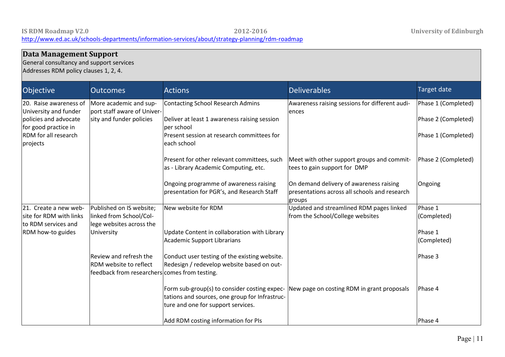#### **Data Management Support** General consultancy and support services Addresses RDM policy clauses 1, 2, 4. Objective **Outcomes Cultive Contract Actions** Actions **Deliverables** Deliverables **Contract Contract Contract Actions** 20. Raise awareness of University and funder policies and advocate for good practice in RDM for all research projects More academic and support staff aware of University and funder policies Contacting School Research Admins Deliver at least 1 awareness raising session per school Present session at research committees for each school Present for other relevant committees, such as - Library Academic Computing, etc. Ongoing programme of awareness raising presentation for PGR's, and Research Staff Awareness raising sessions for different audiences Meet with other support groups and committees to gain support for DMP On demand delivery of awareness raising presentations across all schools and research groups Phase 1 (Completed) Phase 2 (Completed) Phase 1 (Completed) Phase 2 (Completed) Ongoing 21. Create a new website for RDM with links to RDM services and RDM how-to guides Published on IS website; linked from School/College websites across the University Review and refresh the RDM website to reflect feedback from researchers|comes from testing. New website for RDM Update Content in collaboration with Library Academic Support Librarians Conduct user testing of the existing website. Redesign / redevelop website based on out-Form sub-group(s) to consider costing expectations and sources, one group for Infrastructure and one for support services. Updated and streamlined RDM pages linked from the School/College websites New page on costing RDM in grant proposals Phase 1 (Completed) Phase 1 (Completed) Phase 3 Phase 4

Add RDM costing information for PIs

Phase 4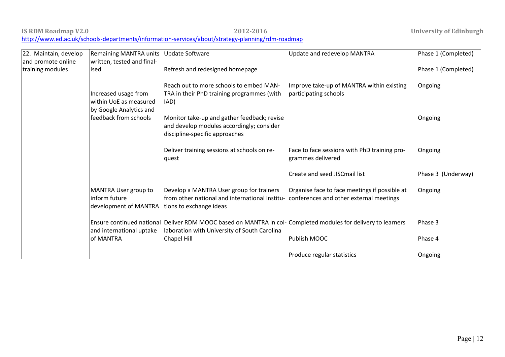#### **IS RDM Roadmap V2.0 2012-2016 University of Edinburgh** <http://www.ed.ac.uk/schools-departments/information-services/about/strategy-planning/rdm-roadmap>

| 22. Maintain, develop                  | <b>Remaining MANTRA units</b>                                             | <b>Update Software</b>                                                                                                                                        | Update and redevelop MANTRA                                                              | Phase 1 (Completed) |
|----------------------------------------|---------------------------------------------------------------------------|---------------------------------------------------------------------------------------------------------------------------------------------------------------|------------------------------------------------------------------------------------------|---------------------|
| and promote online<br>training modules | written, tested and final-<br>ised                                        | Refresh and redesigned homepage                                                                                                                               |                                                                                          | Phase 1 (Completed) |
|                                        | Increased usage from<br>within UoE as measured<br>by Google Analytics and | Reach out to more schools to embed MAN-<br>TRA in their PhD training programmes (with<br>IAD)                                                                 | Improve take-up of MANTRA within existing<br>participating schools                       | Ongoing             |
|                                        | feedback from schools                                                     | Monitor take-up and gather feedback; revise<br>and develop modules accordingly; consider<br>discipline-specific approaches                                    |                                                                                          | Ongoing             |
|                                        |                                                                           | Deliver training sessions at schools on re-<br>quest                                                                                                          | Face to face sessions with PhD training pro-<br>grammes delivered                        | Ongoing             |
|                                        |                                                                           |                                                                                                                                                               | Create and seed JISCmail list                                                            | Phase 3 (Underway)  |
|                                        | MANTRA User group to<br>inform future<br>development of MANTRA            | Develop a MANTRA User group for trainers<br>from other national and international institu-<br>tions to exchange ideas                                         | Organise face to face meetings if possible at<br>conferences and other external meetings | Ongoing             |
|                                        | and international uptake                                                  | Ensure continued national Deliver RDM MOOC based on MANTRA in col- Completed modules for delivery to learners<br>laboration with University of South Carolina |                                                                                          | Phase 3             |
|                                        | of MANTRA                                                                 | Chapel Hill                                                                                                                                                   | Publish MOOC                                                                             | Phase 4             |
|                                        |                                                                           |                                                                                                                                                               | Produce regular statistics                                                               | Ongoing             |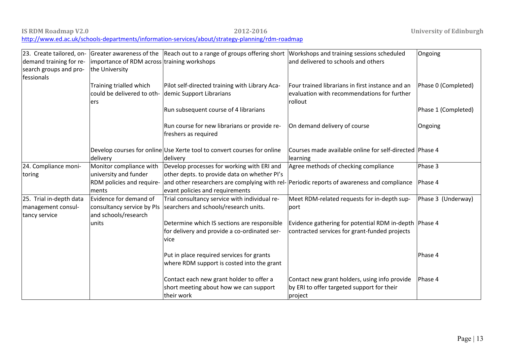**IS RDM Roadmap V2.0 2012-2016 University of Edinburgh**

<http://www.ed.ac.uk/schools-departments/information-services/about/strategy-planning/rdm-roadmap>

| 23. Create tailored, on-             |                                                            | Greater awareness of the Reach out to a range of groups offering short Workshops and training sessions scheduled |                                                                                            | Ongoing             |
|--------------------------------------|------------------------------------------------------------|------------------------------------------------------------------------------------------------------------------|--------------------------------------------------------------------------------------------|---------------------|
| demand training for re-              | importance of RDM across training workshops                |                                                                                                                  | and delivered to schools and others                                                        |                     |
| search groups and pro-<br>fessionals | the University                                             |                                                                                                                  |                                                                                            |                     |
|                                      | Training trialled which                                    | Pilot self-directed training with Library Aca-                                                                   | Four trained librarians in first instance and an                                           | Phase 0 (Completed) |
|                                      | could be delivered to oth- demic Support Librarians<br>ers |                                                                                                                  | evaluation with recommendations for further<br>rollout                                     |                     |
|                                      |                                                            | Run subsequent course of 4 librarians                                                                            |                                                                                            | Phase 1 (Completed) |
|                                      |                                                            | Run course for new librarians or provide re-<br>freshers as required                                             | On demand delivery of course                                                               | Ongoing             |
|                                      |                                                            | Develop courses for online Use Xerte tool to convert courses for online                                          | Courses made available online for self-directed Phase 4                                    |                     |
|                                      | delivery                                                   | delivery                                                                                                         | learning                                                                                   |                     |
| 24. Compliance moni-                 | Monitor compliance with                                    | Develop processes for working with ERI and                                                                       | Agree methods of checking compliance                                                       | Phase 3             |
| toring                               | university and funder                                      | other depts. to provide data on whether PI's                                                                     |                                                                                            |                     |
|                                      | RDM policies and require-                                  |                                                                                                                  | and other researchers are complying with rel- Periodic reports of awareness and compliance | Phase 4             |
|                                      | ments                                                      | evant policies and requirements                                                                                  |                                                                                            |                     |
| 25. Trial in-depth data              | Evidence for demand of                                     | Trial consultancy service with individual re-                                                                    | Meet RDM-related requests for in-depth sup-                                                | Phase 3 (Underway)  |
| management consul-<br>tancy service  | consultancy service by PIs<br>and schools/research         | searchers and schools/research units.                                                                            | port                                                                                       |                     |
|                                      | units                                                      | Determine which IS sections are responsible                                                                      | Evidence gathering for potential RDM in-depth Phase 4                                      |                     |
|                                      |                                                            | for delivery and provide a co-ordinated ser-<br>vice                                                             | contracted services for grant-funded projects                                              |                     |
|                                      |                                                            | Put in place required services for grants                                                                        |                                                                                            | Phase 4             |
|                                      |                                                            | where RDM support is costed into the grant                                                                       |                                                                                            |                     |
|                                      |                                                            | Contact each new grant holder to offer a                                                                         | Contact new grant holders, using info provide                                              | Phase 4             |
|                                      |                                                            | short meeting about how we can support                                                                           | by ERI to offer targeted support for their                                                 |                     |
|                                      |                                                            | their work                                                                                                       | project                                                                                    |                     |